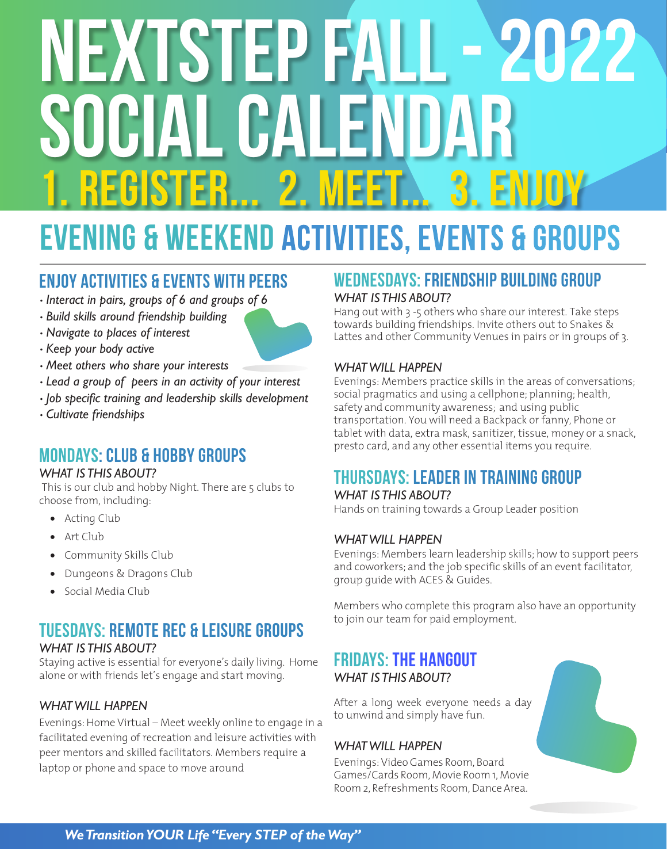# NEXTSTEP FALL - 2022 OCIAL CALENDAR ISTER... 2. MEET

# evening & weekend ACTIVITIES, EVENTS & groups

# Enjoy Activities & Events with peers

- *Interact in pairs, groups of 6 and groups of 6*
- *Build skills around friendship building*
- *Navigate to places of interest*
- *Keep your body active*
- *Meet others who share your interests*
- *Lead a group of peers in an activity of your interest*
- *Job specific training and leadership skills development*
- *Cultivate friendships*

# MONDAYs: club & hobby groups

#### *WHAT IS THIS ABOUT?*

This is our club and hobby Night. There are 5 clubs to choose from, including:

- Acting Club
- Art Club
- Community Skills Club
- Dungeons & Dragons Club
- Social Media Club

# TUESDAYS: remote rec & LEISURE groups

#### *WHAT IS THIS ABOUT?*

Staying active is essential for everyone's daily living. Home alone or with friends let's engage and start moving.

#### *WHAT WILL HAPPEN*

Evenings: Home Virtual – Meet weekly online to engage in a facilitated evening of recreation and leisure activities with peer mentors and skilled facilitators. Members require a laptop or phone and space to move around

#### WEDNESDAYS: friendship building group *WHAT IS THIS ABOUT?*

Hang out with 3 -5 others who share our interest. Take steps towards building friendships. Invite others out to Snakes & Lattes and other Community Venues in pairs or in groups of 3.

#### *WHAT WILL HAPPEN*

Evenings: Members practice skills in the areas of conversations; social pragmatics and using a cellphone; planning; health, safety and community awareness; and using public transportation. You will need a Backpack or fanny, Phone or tablet with data, extra mask, sanitizer, tissue, money or a snack, presto card, and any other essential items you require.

# THURSDAYS: leader in training group

#### *WHAT IS THIS ABOUT?*

Hands on training towards a Group Leader position

#### *WHAT WILL HAPPEN*

Evenings: Members learn leadership skills; how to support peers and coworkers; and the job specific skills of an event facilitator, group guide with ACES & Guides.

Members who complete this program also have an opportunity to join our team for paid employment.

#### FRIDAYS: THE HangOUT *WHAT IS THIS ABOUT?*

After a long week everyone needs a day to unwind and simply have fun.

#### *WHAT WILL HAPPEN*

Evenings: Video Games Room, Board Games/Cards Room, Movie Room 1, Movie Room 2, Refreshments Room, Dance Area.



#### *We Transition YOUR Life "Every STEP of the Way"*